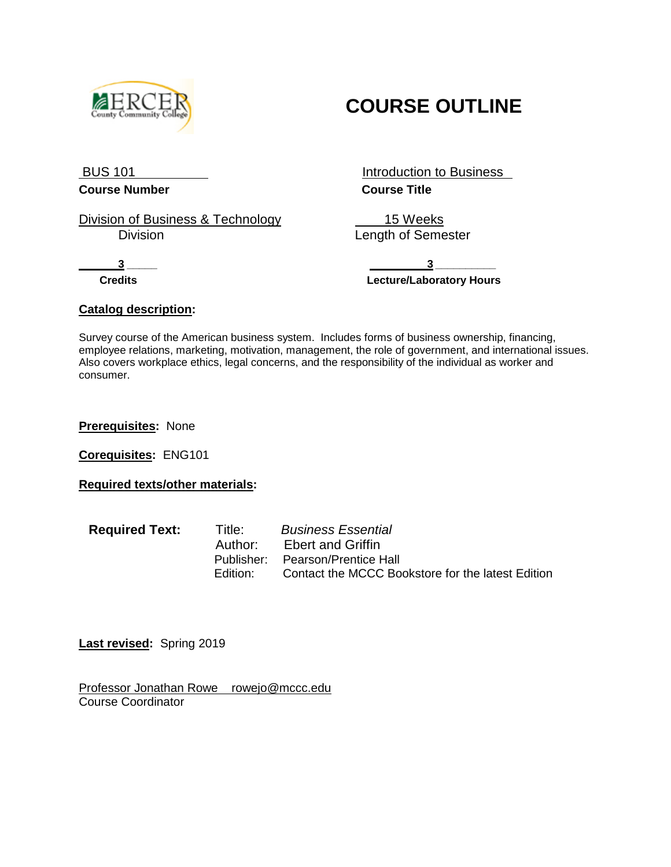

# **COURSE OUTLINE**

**Course Number Course Title**

Division of Business & Technology<br>Division Division business and the Menath of Seme

BUS 101 **Introduction to Business** 

Length of Semester

 **3 \_\_\_\_\_ 3 \_\_\_\_\_\_\_\_\_\_ Credits Lecture/Laboratory Hours**

## **Catalog description:**

Survey course of the American business system. Includes forms of business ownership, financing, employee relations, marketing, motivation, management, the role of government, and international issues. Also covers workplace ethics, legal concerns, and the responsibility of the individual as worker and consumer.

**Prerequisites:** None

**Corequisites:** ENG101

**Required texts/other materials:**

| <b>Required Text:</b> |  |
|-----------------------|--|
|                       |  |

**Required Text:** Title:*Business Essential* Author: Ebert and Griffin<br>Publisher: Pearson/Prentice H Pearson/Prentice Hall Edition: Contact the MCCC Bookstore for the latest Edition

**Last revised:** Spring 2019

Professor Jonathan Rowe rowejo@mccc.edu Course Coordinator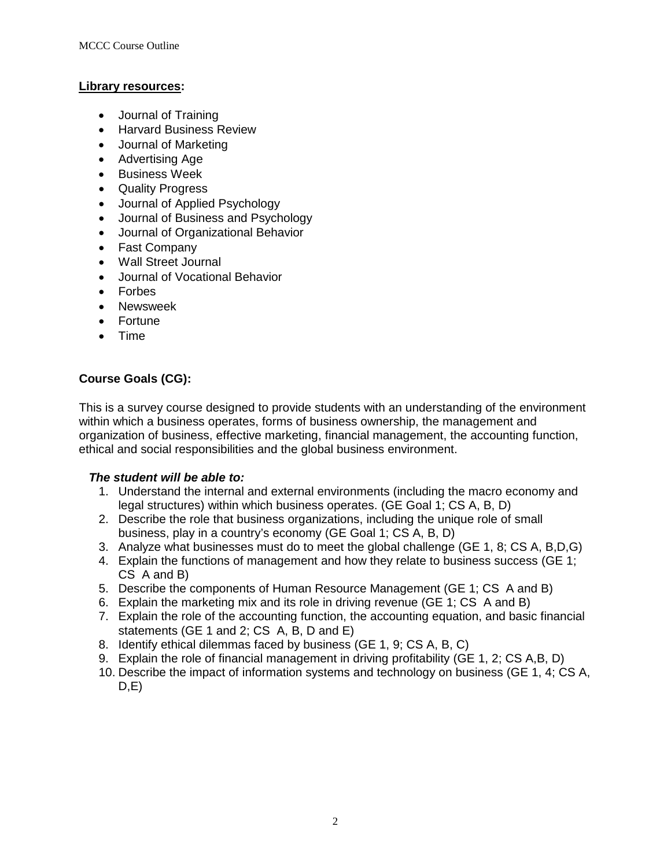## **Library resources:**

- Journal of Training
- Harvard Business Review
- Journal of Marketing
- Advertising Age
- Business Week
- Quality Progress
- Journal of Applied Psychology
- Journal of Business and Psychology
- Journal of Organizational Behavior
- Fast Company
- Wall Street Journal
- Journal of Vocational Behavior
- Forbes
- Newsweek
- Fortune
- Time

# **Course Goals (CG):**

This is a survey course designed to provide students with an understanding of the environment within which a business operates, forms of business ownership, the management and organization of business, effective marketing, financial management, the accounting function, ethical and social responsibilities and the global business environment.

## *The student will be able to:*

- 1. Understand the internal and external environments (including the macro economy and legal structures) within which business operates. (GE Goal 1; CS A, B, D)
- 2. Describe the role that business organizations, including the unique role of small business, play in a country's economy (GE Goal 1; CS A, B, D)
- 3. Analyze what businesses must do to meet the global challenge (GE 1, 8; CS A, B,D,G)
- 4. Explain the functions of management and how they relate to business success (GE 1; CS A and B)
- 5. Describe the components of Human Resource Management (GE 1; CS A and B)
- 6. Explain the marketing mix and its role in driving revenue (GE 1; CS A and B)
- 7. Explain the role of the accounting function, the accounting equation, and basic financial statements (GE 1 and 2; CS A, B, D and E)
- 8. Identify ethical dilemmas faced by business (GE 1, 9; CS A, B, C)
- 9. Explain the role of financial management in driving profitability (GE 1, 2; CS A,B, D)
- 10. Describe the impact of information systems and technology on business (GE 1, 4; CS A,  $D,E$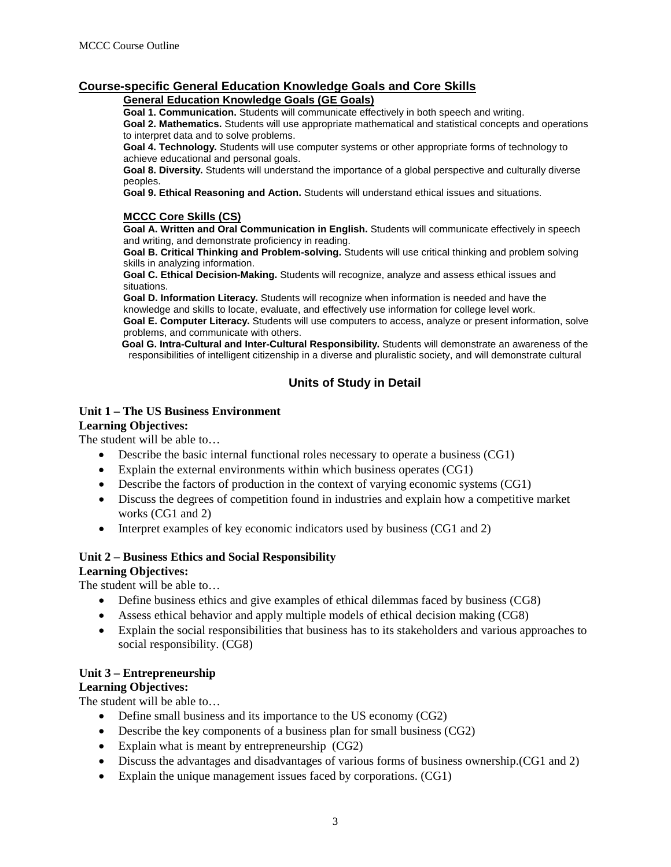# **Course-specific General Education Knowledge Goals and Core Skills**

#### **General Education Knowledge Goals (GE Goals)**

**Goal 1. Communication.** Students will communicate effectively in both speech and writing.

**Goal 2. Mathematics.** Students will use appropriate mathematical and statistical concepts and operations to interpret data and to solve problems.

**Goal 4. Technology.** Students will use computer systems or other appropriate forms of technology to achieve educational and personal goals.

**Goal 8. Diversity.** Students will understand the importance of a global perspective and culturally diverse peoples.

**Goal 9. Ethical Reasoning and Action.** Students will understand ethical issues and situations.

#### **MCCC Core Skills (CS)**

**Goal A. Written and Oral Communication in English.** Students will communicate effectively in speech and writing, and demonstrate proficiency in reading.

**Goal B. Critical Thinking and Problem-solving.** Students will use critical thinking and problem solving skills in analyzing information.

**Goal C. Ethical Decision-Making.** Students will recognize, analyze and assess ethical issues and situations.

**Goal D. Information Literacy.** Students will recognize when information is needed and have the knowledge and skills to locate, evaluate, and effectively use information for college level work.

**Goal E. Computer Literacy.** Students will use computers to access, analyze or present information, solve problems, and communicate with others.

**Goal G. Intra-Cultural and Inter-Cultural Responsibility.** Students will demonstrate an awareness of the responsibilities of intelligent citizenship in a diverse and pluralistic society, and will demonstrate cultural

# **Units of Study in Detail**

#### **Unit 1 – The US Business Environment**

#### **Learning Objectives:**

The student will be able to…

- Describe the basic internal functional roles necessary to operate a business (CG1)
- Explain the external environments within which business operates (CG1)
- Describe the factors of production in the context of varying economic systems (CG1)
- Discuss the degrees of competition found in industries and explain how a competitive market works (CG1 and 2)
- Interpret examples of key economic indicators used by business (CG1 and 2)

## **Unit 2 – Business Ethics and Social Responsibility**

#### **Learning Objectives:**

The student will be able to…

- Define business ethics and give examples of ethical dilemmas faced by business (CG8)
- Assess ethical behavior and apply multiple models of ethical decision making (CG8)
- Explain the social responsibilities that business has to its stakeholders and various approaches to social responsibility. (CG8)

## **Unit 3 – Entrepreneurship**

## **Learning Objectives:**

The student will be able to…

- Define small business and its importance to the US economy (CG2)
- Describe the key components of a business plan for small business (CG2)
- Explain what is meant by entrepreneurship (CG2)
- Discuss the advantages and disadvantages of various forms of business ownership. (CG1 and 2)
- Explain the unique management issues faced by corporations. (CG1)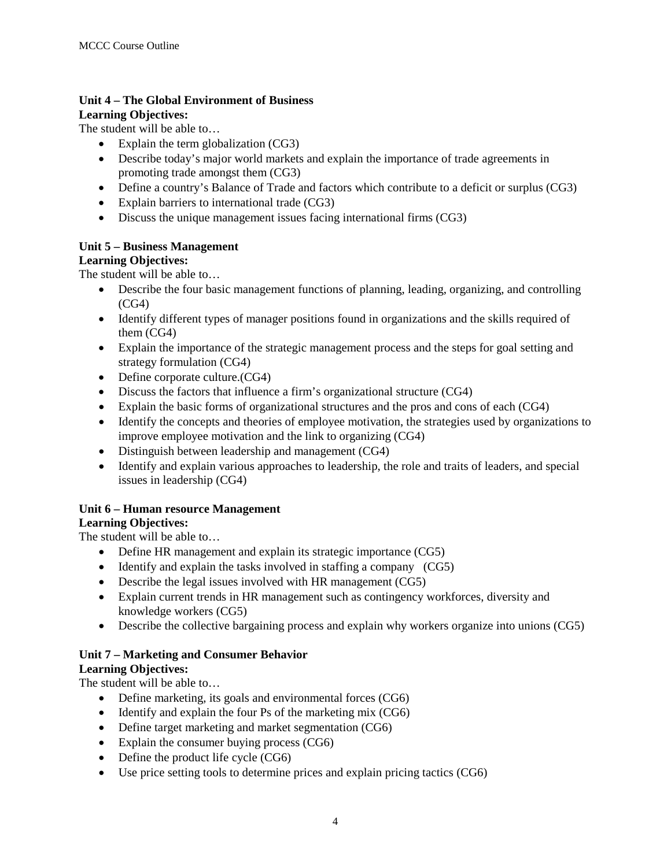#### **Unit 4 – The Global Environment of Business Learning Objectives:**

The student will be able to…

- Explain the term globalization (CG3)
- Describe today's major world markets and explain the importance of trade agreements in promoting trade amongst them (CG3)
- Define a country's Balance of Trade and factors which contribute to a deficit or surplus (CG3)
- Explain barriers to international trade (CG3)
- Discuss the unique management issues facing international firms (CG3)

## **Unit 5 – Business Management**

## **Learning Objectives:**

The student will be able to…

- Describe the four basic management functions of planning, leading, organizing, and controlling (CG4)
- Identify different types of manager positions found in organizations and the skills required of them (CG4)
- Explain the importance of the strategic management process and the steps for goal setting and strategy formulation (CG4)
- Define corporate culture.(CG4)
- Discuss the factors that influence a firm's organizational structure (CG4)
- Explain the basic forms of organizational structures and the pros and cons of each (CG4)
- Identify the concepts and theories of employee motivation, the strategies used by organizations to improve employee motivation and the link to organizing (CG4)
- Distinguish between leadership and management (CG4)
- Identify and explain various approaches to leadership, the role and traits of leaders, and special issues in leadership (CG4)

# **Unit 6 – Human resource Management**

## **Learning Objectives:**

The student will be able to…

- Define HR management and explain its strategic importance (CG5)
- Identify and explain the tasks involved in staffing a company (CG5)
- Describe the legal issues involved with HR management (CG5)
- Explain current trends in HR management such as contingency workforces, diversity and knowledge workers (CG5)
- Describe the collective bargaining process and explain why workers organize into unions (CG5)

# **Unit 7 – Marketing and Consumer Behavior**

## **Learning Objectives:**

The student will be able to…

- Define marketing, its goals and environmental forces (CG6)
- Identify and explain the four Ps of the marketing mix (CG6)
- Define target marketing and market segmentation (CG6)
- Explain the consumer buying process (CG6)
- Define the product life cycle (CG6)
- Use price setting tools to determine prices and explain pricing tactics (CG6)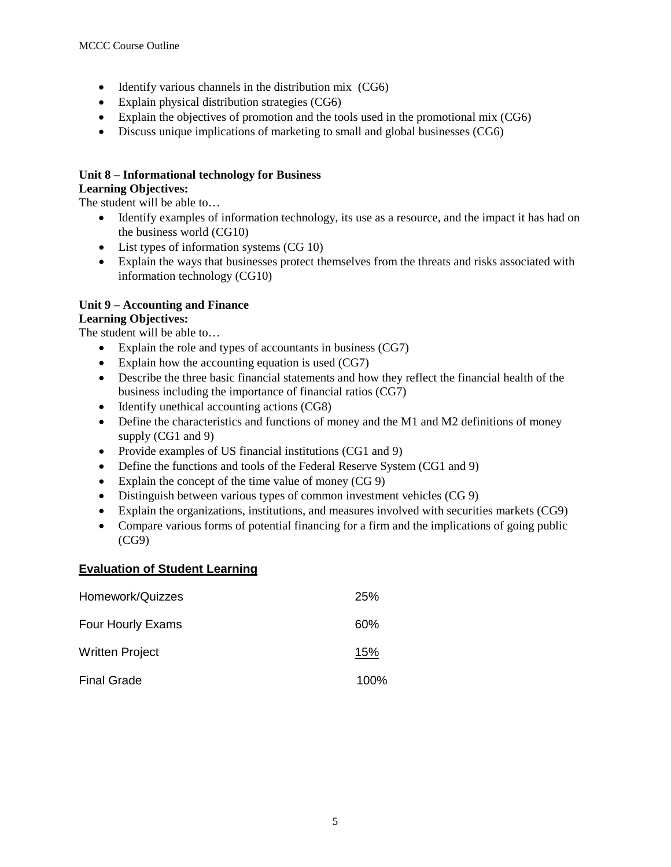- Identify various channels in the distribution mix (CG6)
- Explain physical distribution strategies (CG6)
- Explain the objectives of promotion and the tools used in the promotional mix (CG6)
- Discuss unique implications of marketing to small and global businesses (CG6)

## **Unit 8 – Informational technology for Business**

## **Learning Objectives:**

The student will be able to…

- Identify examples of information technology, its use as a resource, and the impact it has had on the business world (CG10)
- List types of information systems (CG 10)
- Explain the ways that businesses protect themselves from the threats and risks associated with information technology (CG10)

# **Unit 9 – Accounting and Finance**

## **Learning Objectives:**

The student will be able to…

- Explain the role and types of accountants in business (CG7)
- Explain how the accounting equation is used (CG7)
- Describe the three basic financial statements and how they reflect the financial health of the business including the importance of financial ratios (CG7)
- Identify unethical accounting actions (CG8)
- Define the characteristics and functions of money and the M1 and M2 definitions of money supply (CG1 and 9)
- Provide examples of US financial institutions (CG1 and 9)
- Define the functions and tools of the Federal Reserve System (CG1 and 9)
- Explain the concept of the time value of money (CG 9)
- Distinguish between various types of common investment vehicles (CG 9)
- Explain the organizations, institutions, and measures involved with securities markets (CG9)
- Compare various forms of potential financing for a firm and the implications of going public (CG9)

## **Evaluation of Student Learning**

| Homework/Quizzes       | 25%  |
|------------------------|------|
| Four Hourly Exams      | 60%  |
| <b>Written Project</b> | 15%  |
| <b>Final Grade</b>     | 100% |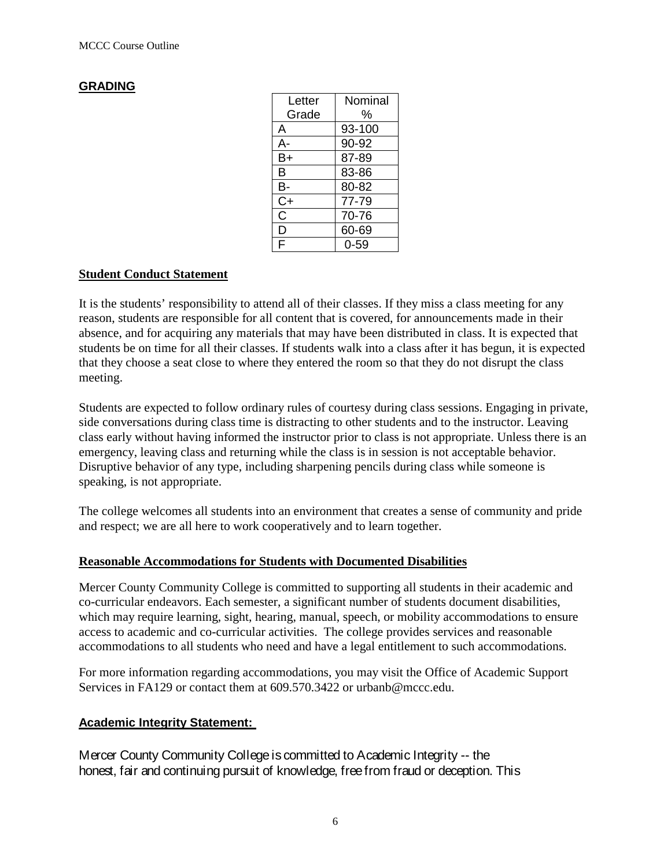## **GRADING**

| Letter | Nominal |
|--------|---------|
| Grade  | %       |
| A      | 93-100  |
| A-     | 90-92   |
| B+     | 87-89   |
| B      | 83-86   |
| B-     | 80-82   |
| $C+$   | 77-79   |
| C      | 70-76   |
| D      | 60-69   |
| F      | 0-59    |

## **Student Conduct Statement**

It is the students' responsibility to attend all of their classes. If they miss a class meeting for any reason, students are responsible for all content that is covered, for announcements made in their absence, and for acquiring any materials that may have been distributed in class. It is expected that students be on time for all their classes. If students walk into a class after it has begun, it is expected that they choose a seat close to where they entered the room so that they do not disrupt the class meeting.

Students are expected to follow ordinary rules of courtesy during class sessions. Engaging in private, side conversations during class time is distracting to other students and to the instructor. Leaving class early without having informed the instructor prior to class is not appropriate. Unless there is an emergency, leaving class and returning while the class is in session is not acceptable behavior. Disruptive behavior of any type, including sharpening pencils during class while someone is speaking, is not appropriate.

The college welcomes all students into an environment that creates a sense of community and pride and respect; we are all here to work cooperatively and to learn together.

#### **Reasonable Accommodations for Students with Documented Disabilities**

Mercer County Community College is committed to supporting all students in their academic and co-curricular endeavors. Each semester, a significant number of students document disabilities, which may require learning, sight, hearing, manual, speech, or mobility accommodations to ensure access to academic and co-curricular activities. The college provides services and reasonable accommodations to all students who need and have a legal entitlement to such accommodations.

For more information regarding accommodations, you may visit the Office of Academic Support Services in FA129 or contact them at 609.570.3422 or [urbanb@mccc.edu.](javascript:main.compose()

#### **Academic Integrity Statement:**

Mercer County Community College is committed to Academic Integrity -- the honest, fair and continuing pursuit of knowledge, free from fraud or deception. This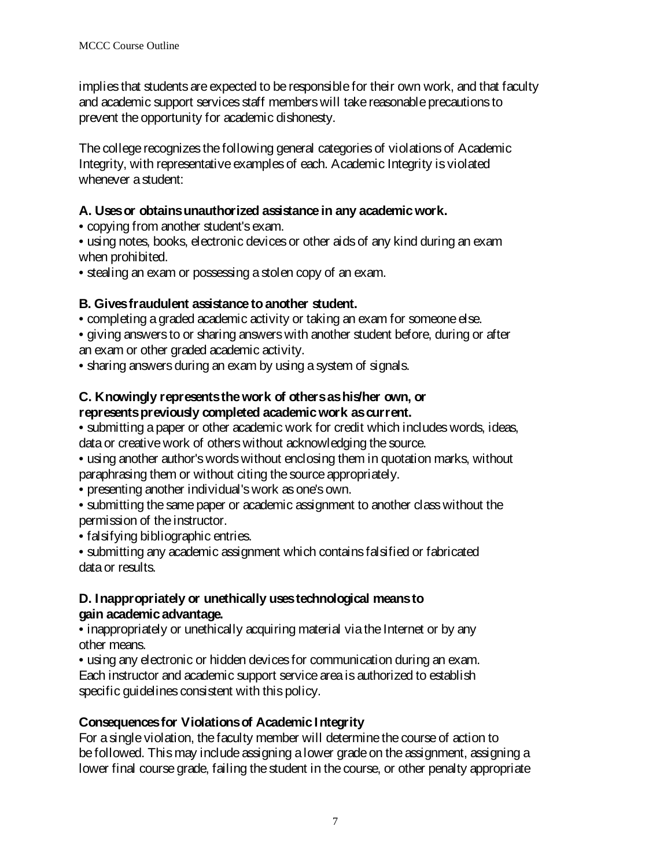implies that students are expected to be responsible for their own work, and that faculty and academic support services staff members will take reasonable precautions to prevent the opportunity for academic dishonesty.

The college recognizes the following general categories of violations of Academic Integrity, with representative examples of each. Academic Integrity is violated whenever a student:

# **A. Uses or obtains unauthorized assistance in any academic work.**

- copying from another student's exam.
- using notes, books, electronic devices or other aids of any kind during an exam when prohibited.
- stealing an exam or possessing a stolen copy of an exam.

# **B. Gives fraudulent assistance to another student.**

• completing a graded academic activity or taking an exam for someone else.

• giving answers to or sharing answers with another student before, during or after an exam or other graded academic activity.

• sharing answers during an exam by using a system of signals.

## **C. Knowingly represents the work of others as his/her own, or represents previously completed academic work as current.**

• submitting a paper or other academic work for credit which includes words, ideas, data or creative work of others without acknowledging the source.

• using another author's words without enclosing them in quotation marks, without paraphrasing them or without citing the source appropriately.

- presenting another individual's work as one's own.
- submitting the same paper or academic assignment to another class without the permission of the instructor.

• falsifying bibliographic entries.

• submitting any academic assignment which contains falsified or fabricated data or results.

# **D. Inappropriately or unethically uses technological means to gain academic advantage.**

• inappropriately or unethically acquiring material via the Internet or by any other means.

• using any electronic or hidden devices for communication during an exam. Each instructor and academic support service area is authorized to establish specific guidelines consistent with this policy.

# **Consequences for Violations of Academic Integrity**

For a single violation, the faculty member will determine the course of action to be followed. This may include assigning a lower grade on the assignment, assigning a lower final course grade, failing the student in the course, or other penalty appropriate